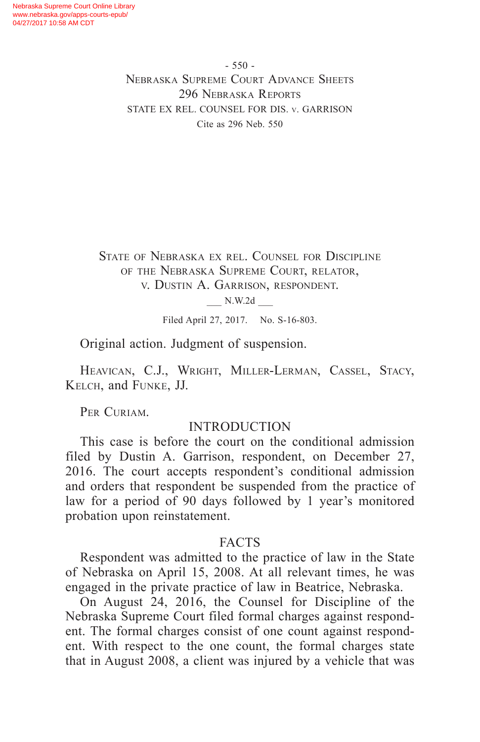- 550 - Nebraska Supreme Court Advance Sheets 296 Nebraska Reports STATE EX REL. COUNSEL FOR DIS. v. GARRISON Cite as 296 Neb. 550

State of Nebraska ex rel. Counsel for Discipline of the Nebraska Supreme Court, relator, v. Dustin A. Garrison, respondent.

\_\_\_ N.W.2d \_\_\_

Filed April 27, 2017. No. S-16-803.

Original action. Judgment of suspension.

Heavican, C.J., Wright, Miller-Lerman, Cassel, Stacy, Kelch, and Funke, JJ.

PER CURIAM.

#### INTRODUCTION

This case is before the court on the conditional admission filed by Dustin A. Garrison, respondent, on December 27, 2016. The court accepts respondent's conditional admission and orders that respondent be suspended from the practice of law for a period of 90 days followed by 1 year's monitored probation upon reinstatement.

# **FACTS**

Respondent was admitted to the practice of law in the State of Nebraska on April 15, 2008. At all relevant times, he was engaged in the private practice of law in Beatrice, Nebraska.

On August 24, 2016, the Counsel for Discipline of the Nebraska Supreme Court filed formal charges against respondent. The formal charges consist of one count against respondent. With respect to the one count, the formal charges state that in August 2008, a client was injured by a vehicle that was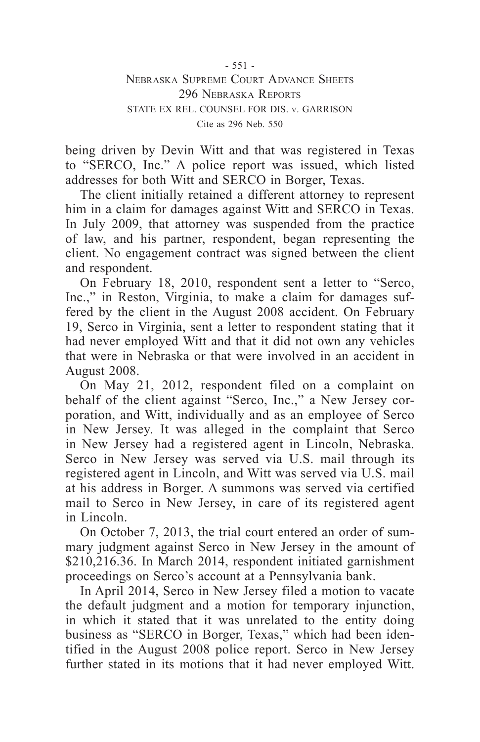- 551 - Nebraska Supreme Court Advance Sheets 296 Nebraska Reports STATE EX REL. COUNSEL FOR DIS. v. GARRISON Cite as 296 Neb. 550

being driven by Devin Witt and that was registered in Texas to "SERCO, Inc." A police report was issued, which listed addresses for both Witt and SERCO in Borger, Texas.

The client initially retained a different attorney to represent him in a claim for damages against Witt and SERCO in Texas. In July 2009, that attorney was suspended from the practice of law, and his partner, respondent, began representing the client. No engagement contract was signed between the client and respondent.

On February 18, 2010, respondent sent a letter to "Serco, Inc.," in Reston, Virginia, to make a claim for damages suffered by the client in the August 2008 accident. On February 19, Serco in Virginia, sent a letter to respondent stating that it had never employed Witt and that it did not own any vehicles that were in Nebraska or that were involved in an accident in August 2008.

On May 21, 2012, respondent filed on a complaint on behalf of the client against "Serco, Inc.," a New Jersey corporation, and Witt, individually and as an employee of Serco in New Jersey. It was alleged in the complaint that Serco in New Jersey had a registered agent in Lincoln, Nebraska. Serco in New Jersey was served via U.S. mail through its registered agent in Lincoln, and Witt was served via U.S. mail at his address in Borger. A summons was served via certified mail to Serco in New Jersey, in care of its registered agent in Lincoln.

On October 7, 2013, the trial court entered an order of summary judgment against Serco in New Jersey in the amount of \$210,216.36. In March 2014, respondent initiated garnishment proceedings on Serco's account at a Pennsylvania bank.

In April 2014, Serco in New Jersey filed a motion to vacate the default judgment and a motion for temporary injunction, in which it stated that it was unrelated to the entity doing business as "SERCO in Borger, Texas," which had been identified in the August 2008 police report. Serco in New Jersey further stated in its motions that it had never employed Witt.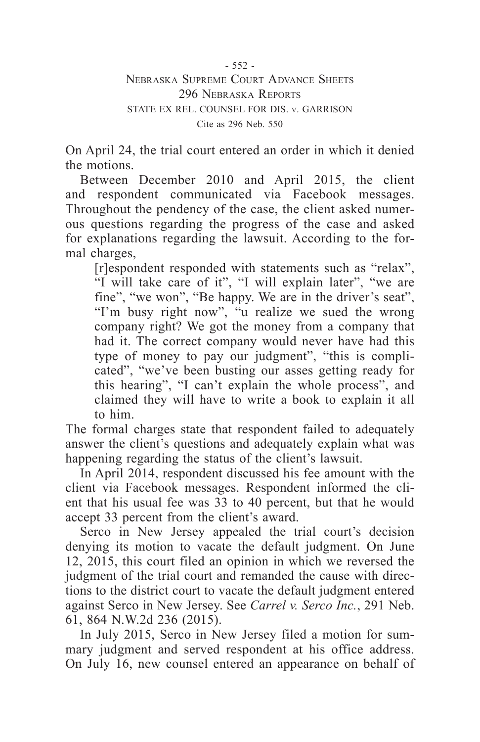- 552 - Nebraska Supreme Court Advance Sheets

296 Nebraska Reports STATE EX REL. COUNSEL FOR DIS. v. GARRISON Cite as 296 Neb. 550

On April 24, the trial court entered an order in which it denied the motions.

Between December 2010 and April 2015, the client and respondent communicated via Facebook messages. Throughout the pendency of the case, the client asked numerous questions regarding the progress of the case and asked for explanations regarding the lawsuit. According to the formal charges,

[r]espondent responded with statements such as "relax", "I will take care of it", "I will explain later", "we are fine", "we won", "Be happy. We are in the driver's seat", "I'm busy right now", "u realize we sued the wrong company right? We got the money from a company that had it. The correct company would never have had this type of money to pay our judgment", "this is complicated", "we've been busting our asses getting ready for this hearing", "I can't explain the whole process", and claimed they will have to write a book to explain it all to him.

The formal charges state that respondent failed to adequately answer the client's questions and adequately explain what was happening regarding the status of the client's lawsuit.

In April 2014, respondent discussed his fee amount with the client via Facebook messages. Respondent informed the client that his usual fee was 33 to 40 percent, but that he would accept 33 percent from the client's award.

Serco in New Jersey appealed the trial court's decision denying its motion to vacate the default judgment. On June 12, 2015, this court filed an opinion in which we reversed the judgment of the trial court and remanded the cause with directions to the district court to vacate the default judgment entered against Serco in New Jersey. See *Carrel v. Serco Inc.*, 291 Neb. 61, 864 N.W.2d 236 (2015).

In July 2015, Serco in New Jersey filed a motion for summary judgment and served respondent at his office address. On July 16, new counsel entered an appearance on behalf of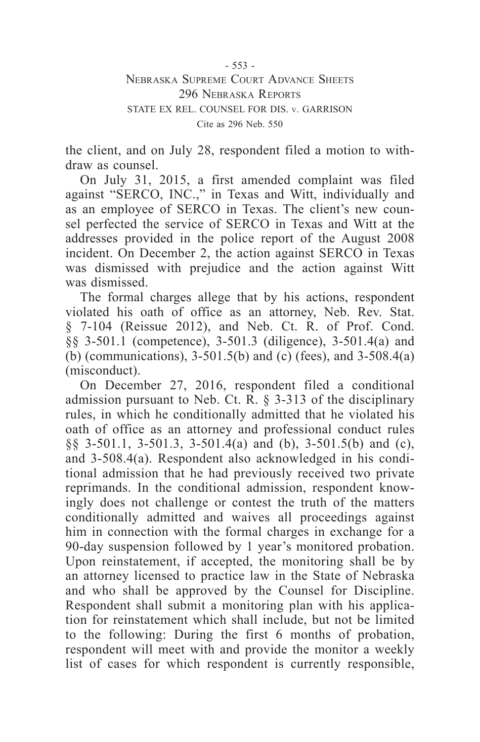- 553 -

Nebraska Supreme Court Advance Sheets 296 Nebraska Reports STATE EX REL. COUNSEL FOR DIS. v. GARRISON Cite as 296 Neb. 550

the client, and on July 28, respondent filed a motion to withdraw as counsel.

On July 31, 2015, a first amended complaint was filed against "SERCO, INC.," in Texas and Witt, individually and as an employee of SERCO in Texas. The client's new counsel perfected the service of SERCO in Texas and Witt at the addresses provided in the police report of the August 2008 incident. On December 2, the action against SERCO in Texas was dismissed with prejudice and the action against Witt was dismissed.

The formal charges allege that by his actions, respondent violated his oath of office as an attorney, Neb. Rev. Stat. § 7-104 (Reissue 2012), and Neb. Ct. R. of Prof. Cond. §§ 3-501.1 (competence), 3-501.3 (diligence), 3-501.4(a) and (b) (communications), 3-501.5(b) and (c) (fees), and 3-508.4(a) (misconduct).

On December 27, 2016, respondent filed a conditional admission pursuant to Neb. Ct.  $\overline{R}$ . § 3-313 of the disciplinary rules, in which he conditionally admitted that he violated his oath of office as an attorney and professional conduct rules §§ 3-501.1, 3-501.3, 3-501.4(a) and (b), 3-501.5(b) and (c), and 3-508.4(a). Respondent also acknowledged in his conditional admission that he had previously received two private reprimands. In the conditional admission, respondent knowingly does not challenge or contest the truth of the matters conditionally admitted and waives all proceedings against him in connection with the formal charges in exchange for a 90-day suspension followed by 1 year's monitored probation. Upon reinstatement, if accepted, the monitoring shall be by an attorney licensed to practice law in the State of Nebraska and who shall be approved by the Counsel for Discipline. Respondent shall submit a monitoring plan with his application for reinstatement which shall include, but not be limited to the following: During the first 6 months of probation, respondent will meet with and provide the monitor a weekly list of cases for which respondent is currently responsible,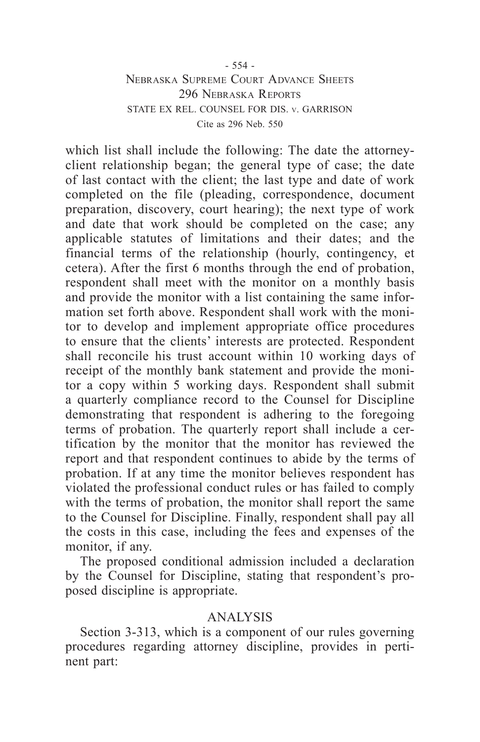# - 554 - Nebraska Supreme Court Advance Sheets 296 Nebraska Reports STATE EX REL. COUNSEL FOR DIS. v. GARRISON Cite as 296 Neb. 550

which list shall include the following: The date the attorneyclient relationship began; the general type of case; the date of last contact with the client; the last type and date of work completed on the file (pleading, correspondence, document preparation, discovery, court hearing); the next type of work and date that work should be completed on the case; any applicable statutes of limitations and their dates; and the financial terms of the relationship (hourly, contingency, et cetera). After the first 6 months through the end of probation, respondent shall meet with the monitor on a monthly basis and provide the monitor with a list containing the same information set forth above. Respondent shall work with the monitor to develop and implement appropriate office procedures to ensure that the clients' interests are protected. Respondent shall reconcile his trust account within 10 working days of receipt of the monthly bank statement and provide the monitor a copy within 5 working days. Respondent shall submit a quarterly compliance record to the Counsel for Discipline demonstrating that respondent is adhering to the foregoing terms of probation. The quarterly report shall include a certification by the monitor that the monitor has reviewed the report and that respondent continues to abide by the terms of probation. If at any time the monitor believes respondent has violated the professional conduct rules or has failed to comply with the terms of probation, the monitor shall report the same to the Counsel for Discipline. Finally, respondent shall pay all the costs in this case, including the fees and expenses of the monitor, if any.

The proposed conditional admission included a declaration by the Counsel for Discipline, stating that respondent's proposed discipline is appropriate.

# ANALYSIS

Section 3-313, which is a component of our rules governing procedures regarding attorney discipline, provides in pertinent part: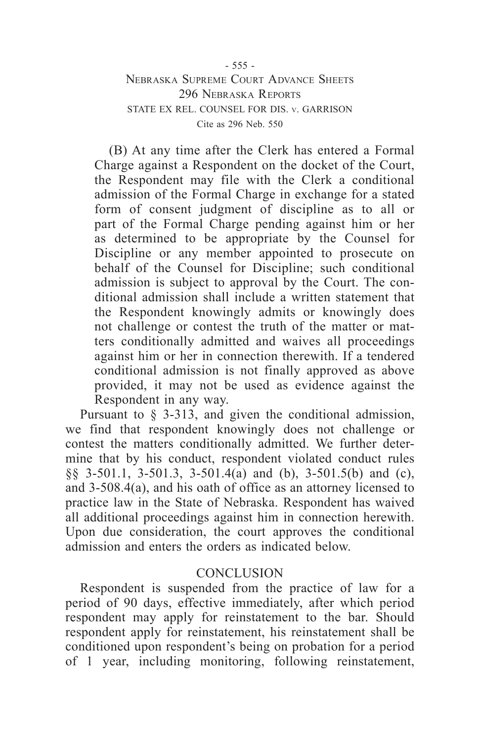# - 555 - Nebraska Supreme Court Advance Sheets 296 Nebraska Reports STATE EX REL. COUNSEL FOR DIS. v. GARRISON Cite as 296 Neb. 550

(B) At any time after the Clerk has entered a Formal Charge against a Respondent on the docket of the Court, the Respondent may file with the Clerk a conditional admission of the Formal Charge in exchange for a stated form of consent judgment of discipline as to all or part of the Formal Charge pending against him or her as determined to be appropriate by the Counsel for Discipline or any member appointed to prosecute on behalf of the Counsel for Discipline; such conditional admission is subject to approval by the Court. The conditional admission shall include a written statement that the Respondent knowingly admits or knowingly does not challenge or contest the truth of the matter or matters conditionally admitted and waives all proceedings against him or her in connection therewith. If a tendered conditional admission is not finally approved as above provided, it may not be used as evidence against the Respondent in any way.

Pursuant to § 3-313, and given the conditional admission, we find that respondent knowingly does not challenge or contest the matters conditionally admitted. We further determine that by his conduct, respondent violated conduct rules §§ 3-501.1, 3-501.3, 3-501.4(a) and (b), 3-501.5(b) and (c), and 3-508.4(a), and his oath of office as an attorney licensed to practice law in the State of Nebraska. Respondent has waived all additional proceedings against him in connection herewith. Upon due consideration, the court approves the conditional admission and enters the orders as indicated below.

# **CONCLUSION**

Respondent is suspended from the practice of law for a period of 90 days, effective immediately, after which period respondent may apply for reinstatement to the bar. Should respondent apply for reinstatement, his reinstatement shall be conditioned upon respondent's being on probation for a period of 1 year, including monitoring, following reinstatement,